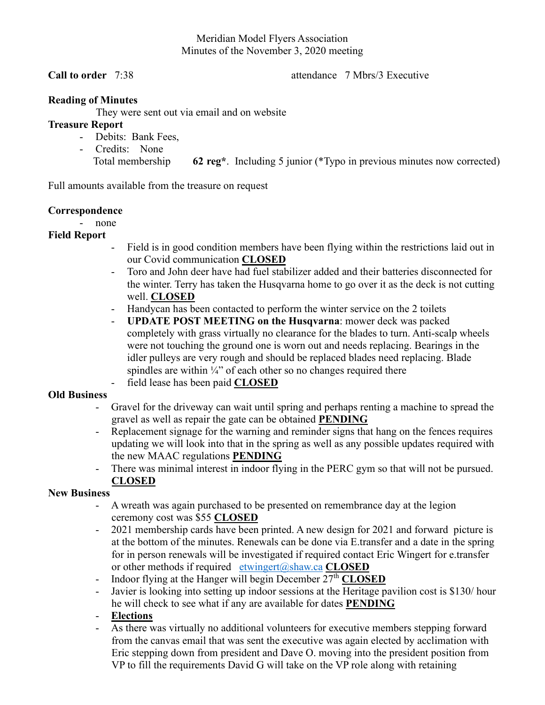#### Meridian Model Flyers Association Minutes of the November 3, 2020 meeting

**Call to order** 7:38 **attendance** 7 Mbrs/3 Executive

### **Reading of Minutes**

They were sent out via email and on website

### **Treasure Report**

- Debits: Bank Fees,
- Credits: None Total membership **62 reg\***. Including 5 junior (\*Typo in previous minutes now corrected)

Full amounts available from the treasure on request

## **Correspondence**

- none

# **Field Report**

- Field is in good condition members have been flying within the restrictions laid out in our Covid communication **CLOSED**
- Toro and John deer have had fuel stabilizer added and their batteries disconnected for the winter. Terry has taken the Husqvarna home to go over it as the deck is not cutting well. **CLOSED**
- Handycan has been contacted to perform the winter service on the 2 toilets
- **UPDATE POST MEETING on the Husqvarna**: mower deck was packed completely with grass virtually no clearance for the blades to turn. Anti-scalp wheels were not touching the ground one is worn out and needs replacing. Bearings in the idler pulleys are very rough and should be replaced blades need replacing. Blade spindles are within  $\frac{1}{4}$ " of each other so no changes required there - field lease has been paid **CLOSED**

### **Old Business**

- Gravel for the driveway can wait until spring and perhaps renting a machine to spread the gravel as well as repair the gate can be obtained **PENDING**
- Replacement signage for the warning and reminder signs that hang on the fences requires updating we will look into that in the spring as well as any possible updates required with the new MAAC regulations **PENDING**
- There was minimal interest in indoor flying in the PERC gym so that will not be pursued. **CLOSED**

### **New Business**

- A wreath was again purchased to be presented on remembrance day at the legion ceremony cost was \$55 **CLOSED**
- 2021 membership cards have been printed. A new design for 2021 and forward picture is at the bottom of the minutes. Renewals can be done via E.transfer and a date in the spring for in person renewals will be investigated if required contact Eric Wingert for e.transfer or other methods if required etwingert@shaw.ca **CLOSED**
- Indoor flying at the Hanger will begin December  $27<sup>th</sup>$  **CLOSED**
- Javier is looking into setting up indoor sessions at the Heritage pavilion cost is \$130/ hour he will check to see what if any are available for dates **PENDING**
- **Elections**
- As there was virtually no additional volunteers for executive members stepping forward from the canvas email that was sent the executive was again elected by acclimation with Eric stepping down from president and Dave O. moving into the president position from VP to fill the requirements David G will take on the VP role along with retaining